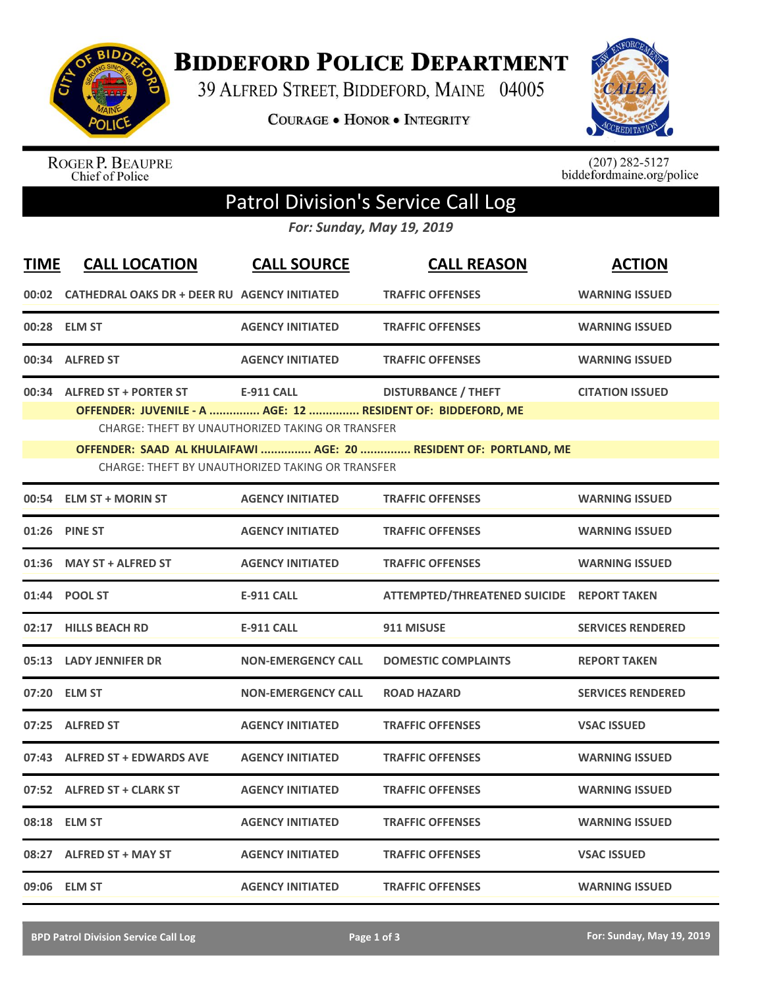

**BIDDEFORD POLICE DEPARTMENT** 

39 ALFRED STREET, BIDDEFORD, MAINE 04005

**COURAGE . HONOR . INTEGRITY** 



ROGER P. BEAUPRE<br>Chief of Police

 $(207)$  282-5127<br>biddefordmaine.org/police

## Patrol Division's Service Call Log

*For: Sunday, May 19, 2019*

| <b>TIME</b> | <b>CALL LOCATION</b>                                                                                                 | <b>CALL SOURCE</b>                                      | <b>CALL REASON</b>                        | <b>ACTION</b>            |  |  |  |
|-------------|----------------------------------------------------------------------------------------------------------------------|---------------------------------------------------------|-------------------------------------------|--------------------------|--|--|--|
|             | 00:02 CATHEDRAL OAKS DR + DEER RU AGENCY INITIATED                                                                   |                                                         | <b>TRAFFIC OFFENSES</b>                   | <b>WARNING ISSUED</b>    |  |  |  |
|             | 00:28 ELM ST                                                                                                         | <b>AGENCY INITIATED</b>                                 | <b>TRAFFIC OFFENSES</b>                   | <b>WARNING ISSUED</b>    |  |  |  |
|             | 00:34 ALFRED ST                                                                                                      | <b>AGENCY INITIATED</b>                                 | <b>TRAFFIC OFFENSES</b>                   | <b>WARNING ISSUED</b>    |  |  |  |
|             | 00:34 ALFRED ST + PORTER ST                                                                                          | <b>E-911 CALL</b>                                       | <b>DISTURBANCE / THEFT</b>                | <b>CITATION ISSUED</b>   |  |  |  |
|             | OFFENDER: JUVENILE - A  AGE: 12  RESIDENT OF: BIDDEFORD, ME                                                          | <b>CHARGE: THEFT BY UNAUTHORIZED TAKING OR TRANSFER</b> |                                           |                          |  |  |  |
|             |                                                                                                                      |                                                         |                                           |                          |  |  |  |
|             | OFFENDER: SAAD AL KHULAIFAWI  AGE: 20  RESIDENT OF: PORTLAND, ME<br>CHARGE: THEFT BY UNAUTHORIZED TAKING OR TRANSFER |                                                         |                                           |                          |  |  |  |
| 00:54       | <b>ELM ST + MORIN ST</b>                                                                                             | <b>AGENCY INITIATED</b>                                 | <b>TRAFFIC OFFENSES</b>                   | <b>WARNING ISSUED</b>    |  |  |  |
| 01:26       | <b>PINE ST</b>                                                                                                       | <b>AGENCY INITIATED</b>                                 | <b>TRAFFIC OFFENSES</b>                   | <b>WARNING ISSUED</b>    |  |  |  |
| 01:36       | <b>MAY ST + ALFRED ST</b>                                                                                            | <b>AGENCY INITIATED</b>                                 | <b>TRAFFIC OFFENSES</b>                   | <b>WARNING ISSUED</b>    |  |  |  |
|             | 01:44 POOL ST                                                                                                        | <b>E-911 CALL</b>                                       | ATTEMPTED/THREATENED SUICIDE REPORT TAKEN |                          |  |  |  |
|             | 02:17 HILLS BEACH RD                                                                                                 | <b>E-911 CALL</b>                                       | 911 MISUSE                                | <b>SERVICES RENDERED</b> |  |  |  |
| 05:13       | <b>LADY JENNIFER DR</b>                                                                                              | <b>NON-EMERGENCY CALL</b>                               | <b>DOMESTIC COMPLAINTS</b>                | <b>REPORT TAKEN</b>      |  |  |  |
|             | 07:20 ELM ST                                                                                                         | <b>NON-EMERGENCY CALL</b>                               | <b>ROAD HAZARD</b>                        | <b>SERVICES RENDERED</b> |  |  |  |
|             | 07:25 ALFRED ST                                                                                                      | <b>AGENCY INITIATED</b>                                 | <b>TRAFFIC OFFENSES</b>                   | <b>VSAC ISSUED</b>       |  |  |  |
|             | 07:43 ALFRED ST + EDWARDS AVE                                                                                        | <b>AGENCY INITIATED</b>                                 | <b>TRAFFIC OFFENSES</b>                   | <b>WARNING ISSUED</b>    |  |  |  |
|             | 07:52 ALFRED ST + CLARK ST                                                                                           | <b>AGENCY INITIATED</b>                                 | <b>TRAFFIC OFFENSES</b>                   | <b>WARNING ISSUED</b>    |  |  |  |
|             | 08:18 ELM ST                                                                                                         | <b>AGENCY INITIATED</b>                                 | <b>TRAFFIC OFFENSES</b>                   | <b>WARNING ISSUED</b>    |  |  |  |
|             | 08:27 ALFRED ST + MAY ST                                                                                             | <b>AGENCY INITIATED</b>                                 | <b>TRAFFIC OFFENSES</b>                   | <b>VSAC ISSUED</b>       |  |  |  |
|             | 09:06 ELM ST                                                                                                         | <b>AGENCY INITIATED</b>                                 | <b>TRAFFIC OFFENSES</b>                   | <b>WARNING ISSUED</b>    |  |  |  |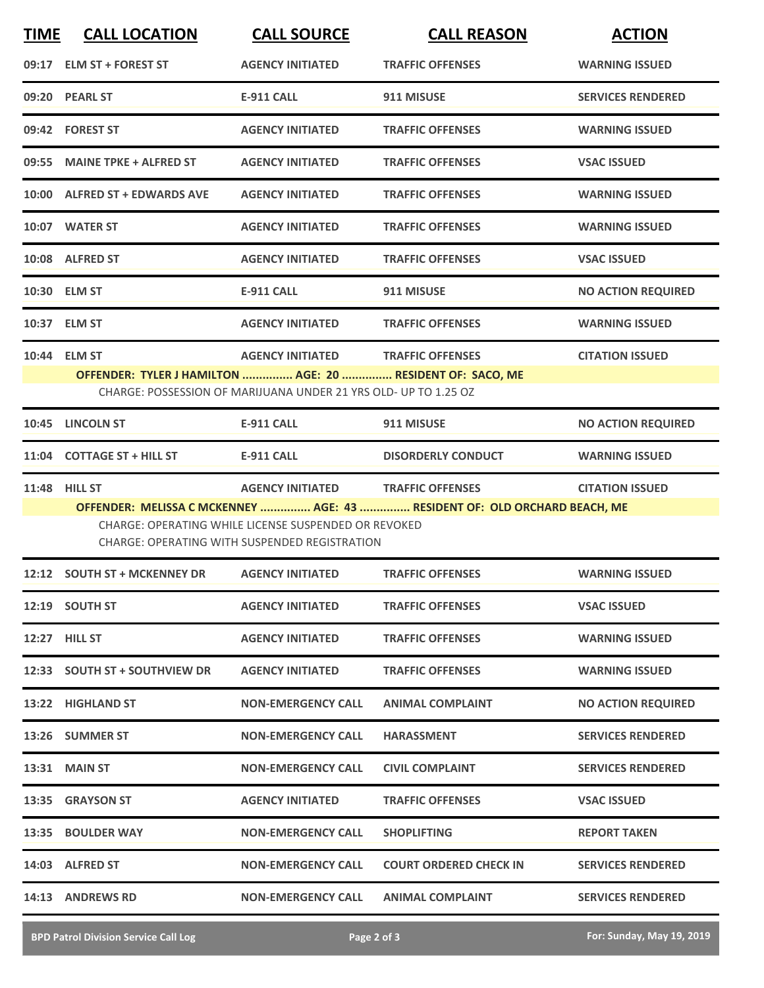| <b>TIME</b> | <b>CALL LOCATION</b>                                                       | <b>CALL SOURCE</b>                                                                                                                                              | <b>CALL REASON</b>                                                        | <b>ACTION</b>             |
|-------------|----------------------------------------------------------------------------|-----------------------------------------------------------------------------------------------------------------------------------------------------------------|---------------------------------------------------------------------------|---------------------------|
|             | 09:17 ELM ST + FOREST ST                                                   | <b>AGENCY INITIATED</b>                                                                                                                                         | <b>TRAFFIC OFFENSES</b>                                                   | <b>WARNING ISSUED</b>     |
|             | 09:20 PEARL ST                                                             | <b>E-911 CALL</b>                                                                                                                                               | 911 MISUSE                                                                | <b>SERVICES RENDERED</b>  |
|             | 09:42 FOREST ST                                                            | <b>AGENCY INITIATED</b>                                                                                                                                         | <b>TRAFFIC OFFENSES</b>                                                   | <b>WARNING ISSUED</b>     |
|             | 09:55 MAINE TPKE + ALFRED ST                                               | <b>AGENCY INITIATED</b>                                                                                                                                         | <b>TRAFFIC OFFENSES</b>                                                   | <b>VSAC ISSUED</b>        |
|             | 10:00 ALFRED ST + EDWARDS AVE                                              | <b>AGENCY INITIATED</b>                                                                                                                                         | <b>TRAFFIC OFFENSES</b>                                                   | <b>WARNING ISSUED</b>     |
|             | 10:07 WATER ST                                                             | <b>AGENCY INITIATED</b>                                                                                                                                         | <b>TRAFFIC OFFENSES</b>                                                   | <b>WARNING ISSUED</b>     |
|             | 10:08 ALFRED ST                                                            | <b>AGENCY INITIATED</b>                                                                                                                                         | <b>TRAFFIC OFFENSES</b>                                                   | <b>VSAC ISSUED</b>        |
|             | 10:30 ELM ST                                                               | <b>E-911 CALL</b>                                                                                                                                               | 911 MISUSE                                                                | <b>NO ACTION REQUIRED</b> |
|             | 10:37 ELM ST                                                               | <b>AGENCY INITIATED</b>                                                                                                                                         | <b>TRAFFIC OFFENSES</b>                                                   | <b>WARNING ISSUED</b>     |
|             | 10:44 ELM ST<br>OFFENDER: TYLER J HAMILTON  AGE: 20  RESIDENT OF: SACO, ME | <b>AGENCY INITIATED</b><br>CHARGE: POSSESSION OF MARIJUANA UNDER 21 YRS OLD- UP TO 1.25 OZ                                                                      | <b>TRAFFIC OFFENSES</b>                                                   | <b>CITATION ISSUED</b>    |
|             | 10:45 LINCOLN ST                                                           | <b>E-911 CALL</b>                                                                                                                                               | 911 MISUSE                                                                | <b>NO ACTION REQUIRED</b> |
|             | 11:04 COTTAGE ST + HILL ST                                                 | <b>E-911 CALL</b>                                                                                                                                               | <b>DISORDERLY CONDUCT</b>                                                 | <b>WARNING ISSUED</b>     |
|             | <b>11:48 HILL ST</b>                                                       | <b>AGENCY INITIATED TRAFFIC OFFENSES</b><br><b>CHARGE: OPERATING WHILE LICENSE SUSPENDED OR REVOKED</b><br><b>CHARGE: OPERATING WITH SUSPENDED REGISTRATION</b> | OFFENDER: MELISSA C MCKENNEY  AGE: 43  RESIDENT OF: OLD ORCHARD BEACH, ME | <b>CITATION ISSUED</b>    |
|             | 12:12 SOUTH ST + MCKENNEY DR                                               | <b>AGENCY INITIATED</b>                                                                                                                                         | <b>TRAFFIC OFFENSES</b>                                                   | <b>WARNING ISSUED</b>     |
|             | 12:19 SOUTH ST                                                             | <b>AGENCY INITIATED</b>                                                                                                                                         | <b>TRAFFIC OFFENSES</b>                                                   | <b>VSAC ISSUED</b>        |
|             | 12:27 HILL ST                                                              | <b>AGENCY INITIATED</b>                                                                                                                                         | <b>TRAFFIC OFFENSES</b>                                                   | <b>WARNING ISSUED</b>     |
|             | 12:33 SOUTH ST + SOUTHVIEW DR                                              | <b>AGENCY INITIATED</b>                                                                                                                                         | <b>TRAFFIC OFFENSES</b>                                                   | <b>WARNING ISSUED</b>     |
|             | 13:22 HIGHLAND ST                                                          | <b>NON-EMERGENCY CALL</b>                                                                                                                                       | <b>ANIMAL COMPLAINT</b>                                                   | <b>NO ACTION REQUIRED</b> |
|             | 13:26 SUMMER ST                                                            | <b>NON-EMERGENCY CALL</b>                                                                                                                                       | <b>HARASSMENT</b>                                                         | <b>SERVICES RENDERED</b>  |
|             | <b>13:31 MAIN ST</b>                                                       | <b>NON-EMERGENCY CALL</b>                                                                                                                                       | <b>CIVIL COMPLAINT</b>                                                    | <b>SERVICES RENDERED</b>  |
|             | 13:35 GRAYSON ST                                                           | <b>AGENCY INITIATED</b>                                                                                                                                         | <b>TRAFFIC OFFENSES</b>                                                   | <b>VSAC ISSUED</b>        |
|             | 13:35 BOULDER WAY                                                          | <b>NON-EMERGENCY CALL</b>                                                                                                                                       | <b>SHOPLIFTING</b>                                                        | <b>REPORT TAKEN</b>       |
|             | 14:03 ALFRED ST                                                            | <b>NON-EMERGENCY CALL</b>                                                                                                                                       | <b>COURT ORDERED CHECK IN</b>                                             | <b>SERVICES RENDERED</b>  |
|             | 14:13 ANDREWS RD                                                           | <b>NON-EMERGENCY CALL</b>                                                                                                                                       | <b>ANIMAL COMPLAINT</b>                                                   | <b>SERVICES RENDERED</b>  |